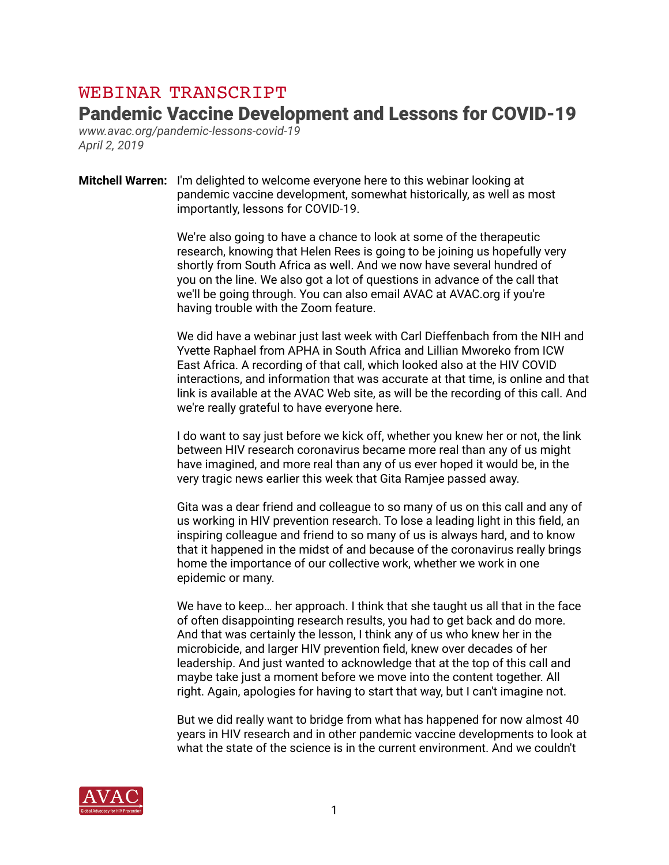## WEBINAR TRANSCRIPT

## Pandemic Vaccine Development and Lessons for COVID-19

*www.avac.org/pandemic-lessons-covid-19 April 2, 2019* 

**Mitchell Warren:** I'm delighted to welcome everyone here to this webinar looking at pandemic vaccine development, somewhat historically, as well as most importantly, lessons for COVID-19.

> We're also going to have a chance to look at some of the therapeutic research, knowing that Helen Rees is going to be joining us hopefully very shortly from South Africa as well. And we now have several hundred of you on the line. We also got a lot of questions in advance of the call that we'll be going through. You can also email AVAC at AVAC.org if you're having trouble with the Zoom feature.

 We did have a webinar just last week with Carl Dieffenbach from the NIH and Yvette Raphael from APHA in South Africa and Lillian Mworeko from ICW East Africa. A recording of that call, which looked also at the HIV COVID interactions, and information that was accurate at that time, is online and that link is available at the AVAC Web site, as will be the recording of this call. And we're really grateful to have everyone here.

 I do want to say just before we kick off, whether you knew her or not, the link between HIV research coronavirus became more real than any of us might have imagined, and more real than any of us ever hoped it would be, in the very tragic news earlier this week that Gita Ramjee passed away.

 Gita was a dear friend and colleague to so many of us on this call and any of us working in HIV prevention research. To lose a leading light in this field, an inspiring colleague and friend to so many of us is always hard, and to know that it happened in the midst of and because of the coronavirus really brings home the importance of our collective work, whether we work in one epidemic or many.

 We have to keep… her approach. I think that she taught us all that in the face of often disappointing research results, you had to get back and do more. And that was certainly the lesson, I think any of us who knew her in the microbicide, and larger HIV prevention field, knew over decades of her leadership. And just wanted to acknowledge that at the top of this call and maybe take just a moment before we move into the content together. All right. Again, apologies for having to start that way, but I can't imagine not.

 But we did really want to bridge from what has happened for now almost 40 years in HIV research and in other pandemic vaccine developments to look at what the state of the science is in the current environment. And we couldn't

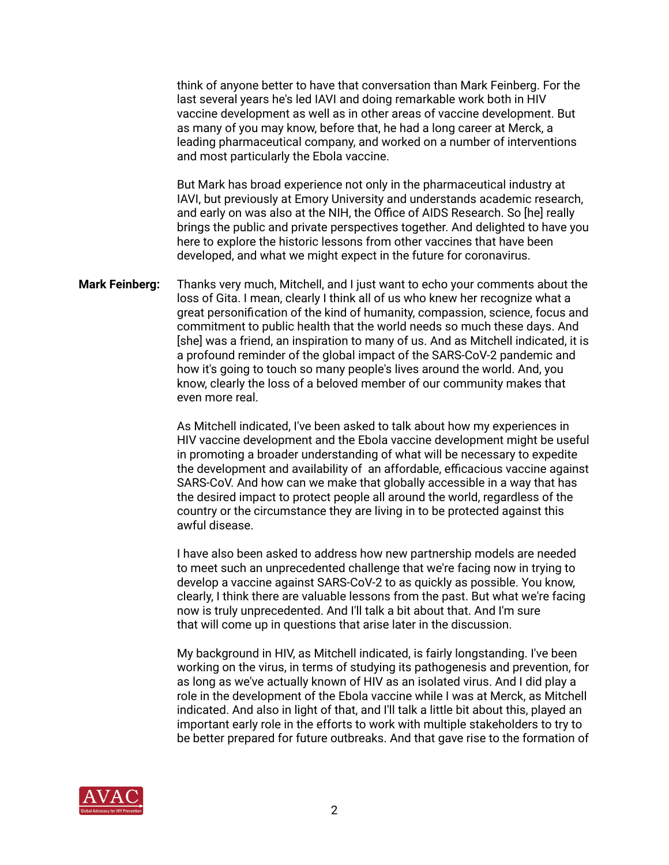think of anyone better to have that conversation than Mark Feinberg. For the last several years he's led IAVI and doing remarkable work both in HIV vaccine development as well as in other areas of vaccine development. But as many of you may know, before that, he had a long career at Merck, a leading pharmaceutical company, and worked on a number of interventions and most particularly the Ebola vaccine.

 But Mark has broad experience not only in the pharmaceutical industry at IAVI, but previously at Emory University and understands academic research, and early on was also at the NIH, the Office of AIDS Research. So [he] really brings the public and private perspectives together. And delighted to have you here to explore the historic lessons from other vaccines that have been developed, and what we might expect in the future for coronavirus.

**Mark Feinberg:** Thanks very much, Mitchell, and I just want to echo your comments about the loss of Gita. I mean, clearly I think all of us who knew her recognize what a great personification of the kind of humanity, compassion, science, focus and commitment to public health that the world needs so much these days. And [she] was a friend, an inspiration to many of us. And as Mitchell indicated, it is a profound reminder of the global impact of the SARS-CoV-2 pandemic and how it's going to touch so many people's lives around the world. And, you know, clearly the loss of a beloved member of our community makes that even more real.

> As Mitchell indicated, I've been asked to talk about how my experiences in HIV vaccine development and the Ebola vaccine development might be useful in promoting a broader understanding of what will be necessary to expedite the development and availability of an affordable, efficacious vaccine against SARS-CoV. And how can we make that globally accessible in a way that has the desired impact to protect people all around the world, regardless of the country or the circumstance they are living in to be protected against this awful disease.

> I have also been asked to address how new partnership models are needed to meet such an unprecedented challenge that we're facing now in trying to develop a vaccine against SARS-CoV-2 to as quickly as possible. You know, clearly, I think there are valuable lessons from the past. But what we're facing now is truly unprecedented. And I'll talk a bit about that. And I'm sure that will come up in questions that arise later in the discussion.

> My background in HIV, as Mitchell indicated, is fairly longstanding. I've been working on the virus, in terms of studying its pathogenesis and prevention, for as long as we've actually known of HIV as an isolated virus. And I did play a role in the development of the Ebola vaccine while I was at Merck, as Mitchell indicated. And also in light of that, and I'll talk a little bit about this, played an important early role in the efforts to work with multiple stakeholders to try to be better prepared for future outbreaks. And that gave rise to the formation of

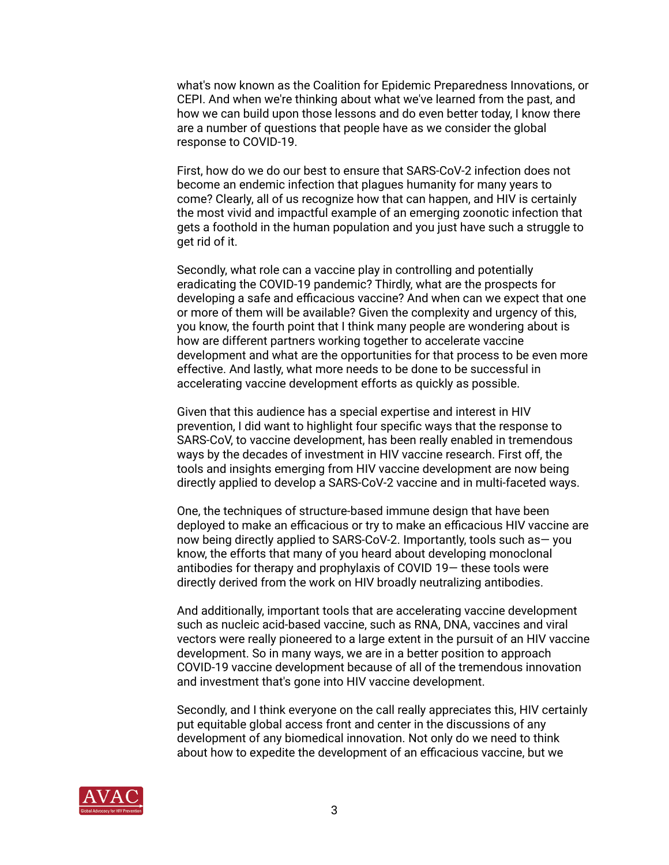what's now known as the Coalition for Epidemic Preparedness Innovations, or CEPI. And when we're thinking about what we've learned from the past, and how we can build upon those lessons and do even better today, I know there are a number of questions that people have as we consider the global response to COVID-19.

 First, how do we do our best to ensure that SARS-CoV-2 infection does not become an endemic infection that plagues humanity for many years to come? Clearly, all of us recognize how that can happen, and HIV is certainly the most vivid and impactful example of an emerging zoonotic infection that gets a foothold in the human population and you just have such a struggle to get rid of it.

 Secondly, what role can a vaccine play in controlling and potentially eradicating the COVID-19 pandemic? Thirdly, what are the prospects for developing a safe and efficacious vaccine? And when can we expect that one or more of them will be available? Given the complexity and urgency of this, you know, the fourth point that I think many people are wondering about is how are different partners working together to accelerate vaccine development and what are the opportunities for that process to be even more effective. And lastly, what more needs to be done to be successful in accelerating vaccine development efforts as quickly as possible.

 Given that this audience has a special expertise and interest in HIV prevention, I did want to highlight four specific ways that the response to SARS-CoV, to vaccine development, has been really enabled in tremendous ways by the decades of investment in HIV vaccine research. First off, the tools and insights emerging from HIV vaccine development are now being directly applied to develop a SARS-CoV-2 vaccine and in multi-faceted ways.

 One, the techniques of structure-based immune design that have been deployed to make an efficacious or try to make an efficacious HIV vaccine are now being directly applied to SARS-CoV-2. Importantly, tools such as— you know, the efforts that many of you heard about developing monoclonal antibodies for therapy and prophylaxis of COVID 19— these tools were directly derived from the work on HIV broadly neutralizing antibodies.

 And additionally, important tools that are accelerating vaccine development such as nucleic acid-based vaccine, such as RNA, DNA, vaccines and viral vectors were really pioneered to a large extent in the pursuit of an HIV vaccine development. So in many ways, we are in a better position to approach COVID-19 vaccine development because of all of the tremendous innovation and investment that's gone into HIV vaccine development.

 Secondly, and I think everyone on the call really appreciates this, HIV certainly put equitable global access front and center in the discussions of any development of any biomedical innovation. Not only do we need to think about how to expedite the development of an efficacious vaccine, but we

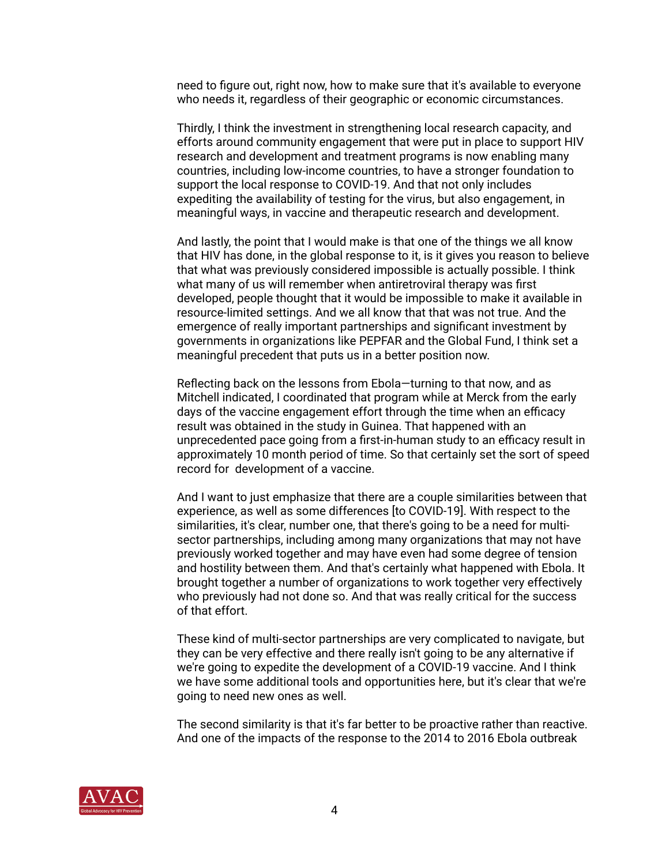need to figure out, right now, how to make sure that it's available to everyone who needs it, regardless of their geographic or economic circumstances.

 Thirdly, I think the investment in strengthening local research capacity, and efforts around community engagement that were put in place to support HIV research and development and treatment programs is now enabling many countries, including low-income countries, to have a stronger foundation to support the local response to COVID-19. And that not only includes expediting the availability of testing for the virus, but also engagement, in meaningful ways, in vaccine and therapeutic research and development.

 And lastly, the point that I would make is that one of the things we all know that HIV has done, in the global response to it, is it gives you reason to believe that what was previously considered impossible is actually possible. I think what many of us will remember when antiretroviral therapy was first developed, people thought that it would be impossible to make it available in resource-limited settings. And we all know that that was not true. And the emergence of really important partnerships and significant investment by governments in organizations like PEPFAR and the Global Fund, I think set a meaningful precedent that puts us in a better position now.

 Reflecting back on the lessons from Ebola—turning to that now, and as Mitchell indicated, I coordinated that program while at Merck from the early days of the vaccine engagement effort through the time when an efficacy result was obtained in the study in Guinea. That happened with an unprecedented pace going from a first-in-human study to an efficacy result in approximately 10 month period of time. So that certainly set the sort of speed record for development of a vaccine.

 And I want to just emphasize that there are a couple similarities between that experience, as well as some differences [to COVID-19]. With respect to the similarities, it's clear, number one, that there's going to be a need for multi sector partnerships, including among many organizations that may not have previously worked together and may have even had some degree of tension and hostility between them. And that's certainly what happened with Ebola. It brought together a number of organizations to work together very effectively who previously had not done so. And that was really critical for the success of that effort.

 These kind of multi-sector partnerships are very complicated to navigate, but they can be very effective and there really isn't going to be any alternative if we're going to expedite the development of a COVID-19 vaccine. And I think we have some additional tools and opportunities here, but it's clear that we're going to need new ones as well.

 The second similarity is that it's far better to be proactive rather than reactive. And one of the impacts of the response to the 2014 to 2016 Ebola outbreak

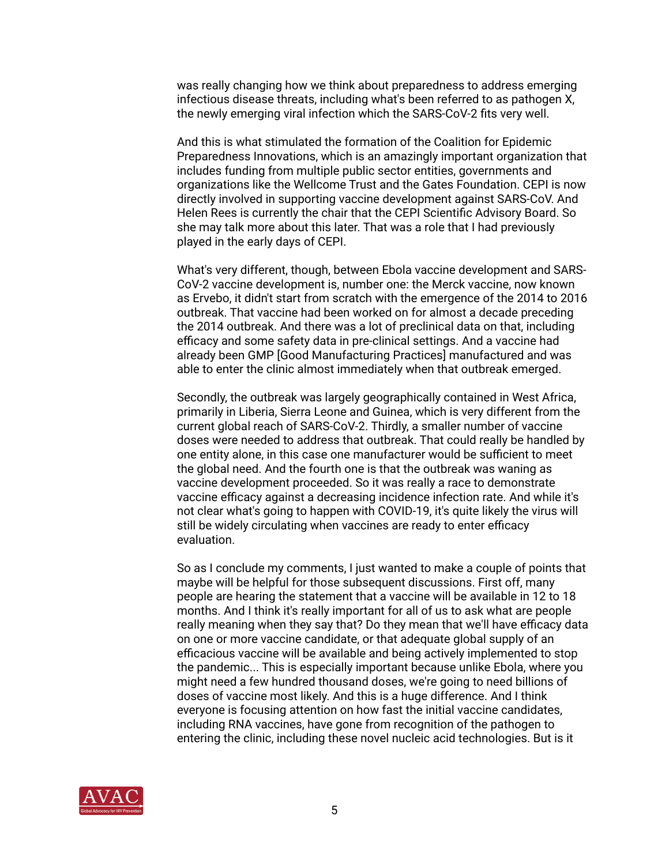was really changing how we think about preparedness to address emerging infectious disease threats, including what's been referred to as pathogen X, the newly emerging viral infection which the SARS-CoV-2 fits very well.

 And this is what stimulated the formation of the Coalition for Epidemic Preparedness Innovations, which is an amazingly important organization that includes funding from multiple public sector entities, governments and organizations like the Wellcome Trust and the Gates Foundation. CEPI is now directly involved in supporting vaccine development against SARS-CoV. And Helen Rees is currently the chair that the CEPI Scientific Advisory Board. So she may talk more about this later. That was a role that I had previously played in the early days of CEPI.

 What's very different, though, between Ebola vaccine development and SARS- CoV-2 vaccine development is, number one: the Merck vaccine, now known as Ervebo, it didn't start from scratch with the emergence of the 2014 to 2016 outbreak. That vaccine had been worked on for almost a decade preceding the 2014 outbreak. And there was a lot of preclinical data on that, including efficacy and some safety data in pre-clinical settings. And a vaccine had already been GMP [Good Manufacturing Practices] manufactured and was able to enter the clinic almost immediately when that outbreak emerged.

 Secondly, the outbreak was largely geographically contained in West Africa, primarily in Liberia, Sierra Leone and Guinea, which is very different from the current global reach of SARS-CoV-2. Thirdly, a smaller number of vaccine doses were needed to address that outbreak. That could really be handled by one entity alone, in this case one manufacturer would be sufficient to meet the global need. And the fourth one is that the outbreak was waning as vaccine development proceeded. So it was really a race to demonstrate vaccine efficacy against a decreasing incidence infection rate. And while it's not clear what's going to happen with COVID-19, it's quite likely the virus will still be widely circulating when vaccines are ready to enter efficacy evaluation.

 So as I conclude my comments, I just wanted to make a couple of points that maybe will be helpful for those subsequent discussions. First off, many people are hearing the statement that a vaccine will be available in 12 to 18 months. And I think it's really important for all of us to ask what are people really meaning when they say that? Do they mean that we'll have efficacy data on one or more vaccine candidate, or that adequate global supply of an efficacious vaccine will be available and being actively implemented to stop the pandemic... This is especially important because unlike Ebola, where you might need a few hundred thousand doses, we're going to need billions of doses of vaccine most likely. And this is a huge difference. And I think everyone is focusing attention on how fast the initial vaccine candidates, including RNA vaccines, have gone from recognition of the pathogen to entering the clinic, including these novel nucleic acid technologies. But is it

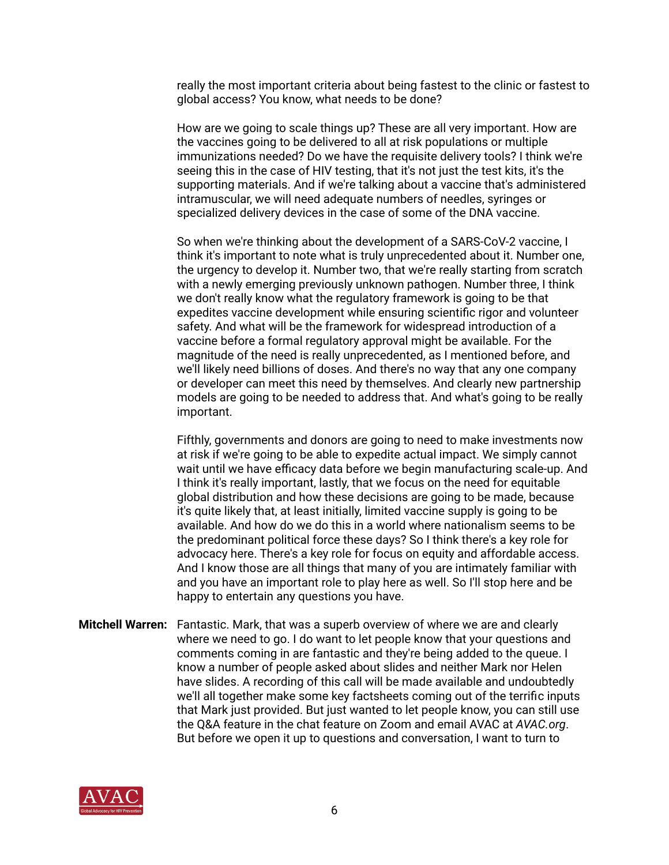really the most important criteria about being fastest to the clinic or fastest to global access? You know, what needs to be done?

 How are we going to scale things up? These are all very important. How are the vaccines going to be delivered to all at risk populations or multiple immunizations needed? Do we have the requisite delivery tools? I think we're seeing this in the case of HIV testing, that it's not just the test kits, it's the supporting materials. And if we're talking about a vaccine that's administered intramuscular, we will need adequate numbers of needles, syringes or specialized delivery devices in the case of some of the DNA vaccine.

 So when we're thinking about the development of a SARS-CoV-2 vaccine, I think it's important to note what is truly unprecedented about it. Number one, the urgency to develop it. Number two, that we're really starting from scratch with a newly emerging previously unknown pathogen. Number three, I think we don't really know what the regulatory framework is going to be that expedites vaccine development while ensuring scientific rigor and volunteer safety. And what will be the framework for widespread introduction of a vaccine before a formal regulatory approval might be available. For the magnitude of the need is really unprecedented, as I mentioned before, and we'll likely need billions of doses. And there's no way that any one company or developer can meet this need by themselves. And clearly new partnership models are going to be needed to address that. And what's going to be really important.

 Fifthly, governments and donors are going to need to make investments now at risk if we're going to be able to expedite actual impact. We simply cannot wait until we have efficacy data before we begin manufacturing scale-up. And I think it's really important, lastly, that we focus on the need for equitable global distribution and how these decisions are going to be made, because it's quite likely that, at least initially, limited vaccine supply is going to be available. And how do we do this in a world where nationalism seems to be the predominant political force these days? So I think there's a key role for advocacy here. There's a key role for focus on equity and affordable access. And I know those are all things that many of you are intimately familiar with and you have an important role to play here as well. So I'll stop here and be happy to entertain any questions you have.

**Mitchell Warren:** Fantastic. Mark, that was a superb overview of where we are and clearly where we need to go. I do want to let people know that your questions and comments coming in are fantastic and they're being added to the queue. I know a number of people asked about slides and neither Mark nor Helen have slides. A recording of this call will be made available and undoubtedly we'll all together make some key factsheets coming out of the terrific inputs that Mark just provided. But just wanted to let people know, you can still use the Q&A feature in the chat feature on Zoom and email AVAC at *AVAC.org*. But before we open it up to questions and conversation, I want to turn to

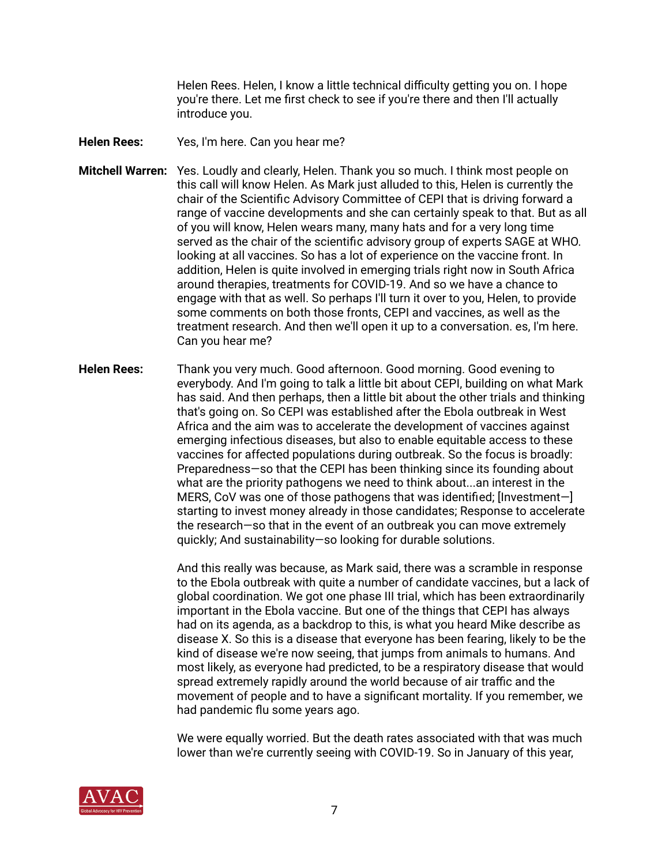Helen Rees. Helen, I know a little technical difficulty getting you on. I hope you're there. Let me first check to see if you're there and then I'll actually introduce you.

- **Helen Rees:** Yes, I'm here. Can you hear me?
- **Mitchell Warren:** Yes. Loudly and clearly, Helen. Thank you so much. I think most people on this call will know Helen. As Mark just alluded to this, Helen is currently the chair of the Scientific Advisory Committee of CEPI that is driving forward a range of vaccine developments and she can certainly speak to that. But as all of you will know, Helen wears many, many hats and for a very long time served as the chair of the scientific advisory group of experts SAGE at WHO. looking at all vaccines. So has a lot of experience on the vaccine front. In addition, Helen is quite involved in emerging trials right now in South Africa around therapies, treatments for COVID-19. And so we have a chance to engage with that as well. So perhaps I'll turn it over to you, Helen, to provide some comments on both those fronts, CEPI and vaccines, as well as the treatment research. And then we'll open it up to a conversation. es, I'm here. Can you hear me?
- **Helen Rees:** Thank you very much. Good afternoon. Good morning. Good evening to everybody. And I'm going to talk a little bit about CEPI, building on what Mark has said. And then perhaps, then a little bit about the other trials and thinking that's going on. So CEPI was established after the Ebola outbreak in West Africa and the aim was to accelerate the development of vaccines against emerging infectious diseases, but also to enable equitable access to these vaccines for affected populations during outbreak. So the focus is broadly: Preparedness—so that the CEPI has been thinking since its founding about what are the priority pathogens we need to think about...an interest in the MERS, CoV was one of those pathogens that was identified; [Investment—] starting to invest money already in those candidates; Response to accelerate the research—so that in the event of an outbreak you can move extremely quickly; And sustainability—so looking for durable solutions.

 And this really was because, as Mark said, there was a scramble in response to the Ebola outbreak with quite a number of candidate vaccines, but a lack of global coordination. We got one phase III trial, which has been extraordinarily important in the Ebola vaccine. But one of the things that CEPI has always had on its agenda, as a backdrop to this, is what you heard Mike describe as disease X. So this is a disease that everyone has been fearing, likely to be the kind of disease we're now seeing, that jumps from animals to humans. And most likely, as everyone had predicted, to be a respiratory disease that would spread extremely rapidly around the world because of air traffic and the movement of people and to have a significant mortality. If you remember, we had pandemic flu some years ago.

 We were equally worried. But the death rates associated with that was much lower than we're currently seeing with COVID-19. So in January of this year,

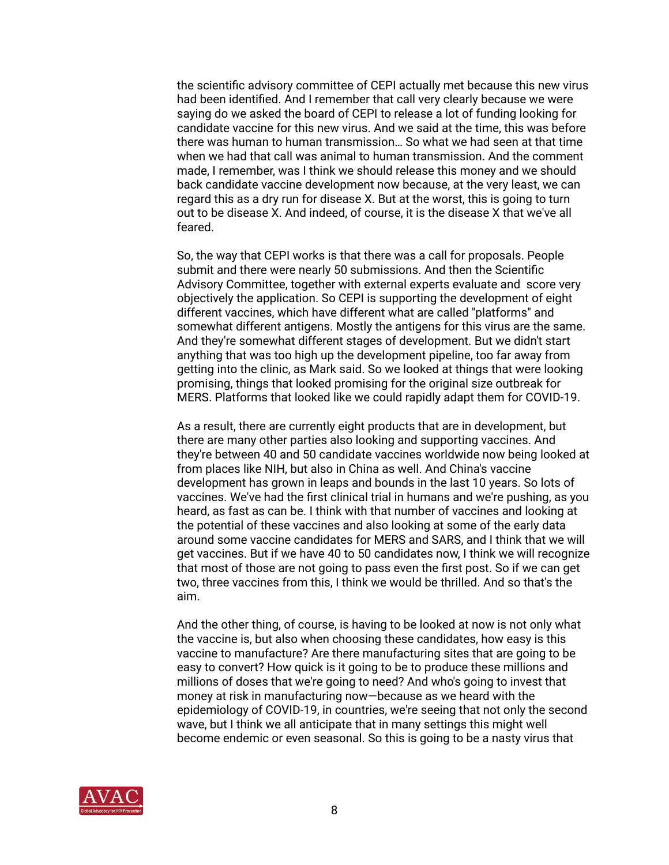the scientific advisory committee of CEPI actually met because this new virus had been identified. And I remember that call very clearly because we were saying do we asked the board of CEPI to release a lot of funding looking for candidate vaccine for this new virus. And we said at the time, this was before there was human to human transmission… So what we had seen at that time when we had that call was animal to human transmission. And the comment made, I remember, was I think we should release this money and we should back candidate vaccine development now because, at the very least, we can regard this as a dry run for disease X. But at the worst, this is going to turn out to be disease X. And indeed, of course, it is the disease X that we've all feared.

 So, the way that CEPI works is that there was a call for proposals. People submit and there were nearly 50 submissions. And then the Scientific Advisory Committee, together with external experts evaluate and score very objectively the application. So CEPI is supporting the development of eight different vaccines, which have different what are called "platforms" and somewhat different antigens. Mostly the antigens for this virus are the same. And they're somewhat different stages of development. But we didn't start anything that was too high up the development pipeline, too far away from getting into the clinic, as Mark said. So we looked at things that were looking promising, things that looked promising for the original size outbreak for MERS. Platforms that looked like we could rapidly adapt them for COVID-19.

 As a result, there are currently eight products that are in development, but there are many other parties also looking and supporting vaccines. And they're between 40 and 50 candidate vaccines worldwide now being looked at from places like NIH, but also in China as well. And China's vaccine development has grown in leaps and bounds in the last 10 years. So lots of vaccines. We've had the first clinical trial in humans and we're pushing, as you heard, as fast as can be. I think with that number of vaccines and looking at the potential of these vaccines and also looking at some of the early data around some vaccine candidates for MERS and SARS, and I think that we will get vaccines. But if we have 40 to 50 candidates now, I think we will recognize that most of those are not going to pass even the first post. So if we can get two, three vaccines from this, I think we would be thrilled. And so that's the aim.

 And the other thing, of course, is having to be looked at now is not only what the vaccine is, but also when choosing these candidates, how easy is this vaccine to manufacture? Are there manufacturing sites that are going to be easy to convert? How quick is it going to be to produce these millions and millions of doses that we're going to need? And who's going to invest that money at risk in manufacturing now—because as we heard with the epidemiology of COVID-19, in countries, we're seeing that not only the second wave, but I think we all anticipate that in many settings this might well become endemic or even seasonal. So this is going to be a nasty virus that

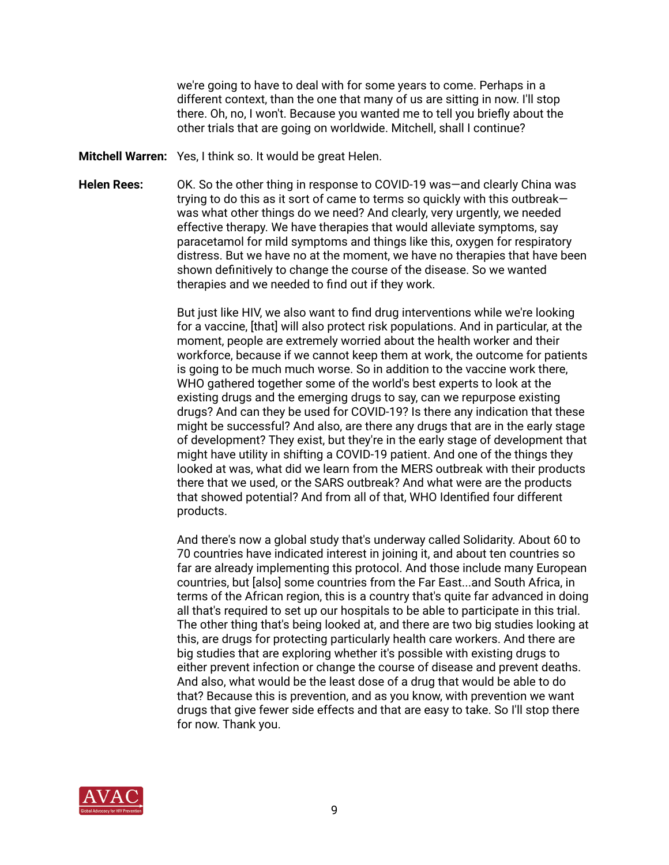we're going to have to deal with for some years to come. Perhaps in a different context, than the one that many of us are sitting in now. I'll stop there. Oh, no, I won't. Because you wanted me to tell you briefly about the other trials that are going on worldwide. Mitchell, shall I continue?

- **Mitchell Warren:** Yes, I think so. It would be great Helen.
- **Helen Rees:** OK. So the other thing in response to COVID-19 was—and clearly China was trying to do this as it sort of came to terms so quickly with this outbreak was what other things do we need? And clearly, very urgently, we needed effective therapy. We have therapies that would alleviate symptoms, say paracetamol for mild symptoms and things like this, oxygen for respiratory distress. But we have no at the moment, we have no therapies that have been shown definitively to change the course of the disease. So we wanted therapies and we needed to find out if they work.

 But just like HIV, we also want to find drug interventions while we're looking for a vaccine, [that] will also protect risk populations. And in particular, at the moment, people are extremely worried about the health worker and their workforce, because if we cannot keep them at work, the outcome for patients is going to be much much worse. So in addition to the vaccine work there, WHO gathered together some of the world's best experts to look at the existing drugs and the emerging drugs to say, can we repurpose existing drugs? And can they be used for COVID-19? Is there any indication that these might be successful? And also, are there any drugs that are in the early stage of development? They exist, but they're in the early stage of development that might have utility in shifting a COVID-19 patient. And one of the things they looked at was, what did we learn from the MERS outbreak with their products there that we used, or the SARS outbreak? And what were are the products that showed potential? And from all of that, WHO Identified four different products.

 And there's now a global study that's underway called Solidarity. About 60 to 70 countries have indicated interest in joining it, and about ten countries so far are already implementing this protocol. And those include many European countries, but [also] some countries from the Far East...and South Africa, in terms of the African region, this is a country that's quite far advanced in doing all that's required to set up our hospitals to be able to participate in this trial. The other thing that's being looked at, and there are two big studies looking at this, are drugs for protecting particularly health care workers. And there are big studies that are exploring whether it's possible with existing drugs to either prevent infection or change the course of disease and prevent deaths. And also, what would be the least dose of a drug that would be able to do that? Because this is prevention, and as you know, with prevention we want drugs that give fewer side effects and that are easy to take. So I'll stop there for now. Thank you.

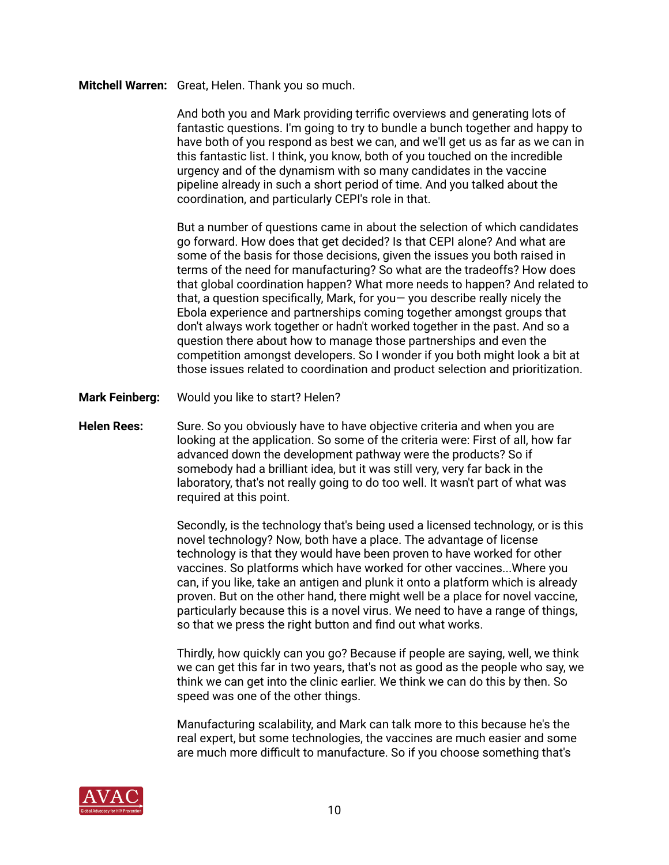## **Mitchell Warren:** Great, Helen. Thank you so much.

 And both you and Mark providing terrific overviews and generating lots of fantastic questions. I'm going to try to bundle a bunch together and happy to have both of you respond as best we can, and we'll get us as far as we can in this fantastic list. I think, you know, both of you touched on the incredible urgency and of the dynamism with so many candidates in the vaccine pipeline already in such a short period of time. And you talked about the coordination, and particularly CEPI's role in that.

 But a number of questions came in about the selection of which candidates go forward. How does that get decided? Is that CEPI alone? And what are some of the basis for those decisions, given the issues you both raised in terms of the need for manufacturing? So what are the tradeoffs? How does that global coordination happen? What more needs to happen? And related to that, a question specifically, Mark, for you— you describe really nicely the Ebola experience and partnerships coming together amongst groups that don't always work together or hadn't worked together in the past. And so a question there about how to manage those partnerships and even the competition amongst developers. So I wonder if you both might look a bit at those issues related to coordination and product selection and prioritization.

- **Mark Feinberg:** Would you like to start? Helen?
- Helen Rees: Sure. So you obviously have to have objective criteria and when you are looking at the application. So some of the criteria were: First of all, how far advanced down the development pathway were the products? So if somebody had a brilliant idea, but it was still very, very far back in the laboratory, that's not really going to do too well. It wasn't part of what was required at this point.

 Secondly, is the technology that's being used a licensed technology, or is this novel technology? Now, both have a place. The advantage of license technology is that they would have been proven to have worked for other vaccines. So platforms which have worked for other vaccines...Where you can, if you like, take an antigen and plunk it onto a platform which is already proven. But on the other hand, there might well be a place for novel vaccine, particularly because this is a novel virus. We need to have a range of things, so that we press the right button and find out what works.

 Thirdly, how quickly can you go? Because if people are saying, well, we think we can get this far in two years, that's not as good as the people who say, we think we can get into the clinic earlier. We think we can do this by then. So speed was one of the other things.

 Manufacturing scalability, and Mark can talk more to this because he's the real expert, but some technologies, the vaccines are much easier and some are much more difficult to manufacture. So if you choose something that's

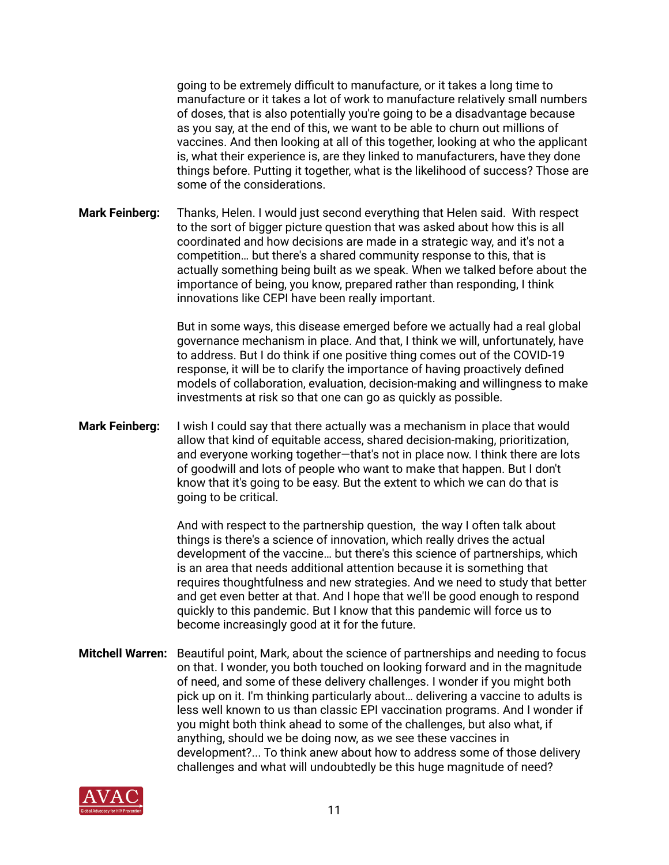going to be extremely difficult to manufacture, or it takes a long time to manufacture or it takes a lot of work to manufacture relatively small numbers of doses, that is also potentially you're going to be a disadvantage because as you say, at the end of this, we want to be able to churn out millions of vaccines. And then looking at all of this together, looking at who the applicant is, what their experience is, are they linked to manufacturers, have they done things before. Putting it together, what is the likelihood of success? Those are some of the considerations.

**Mark Feinberg:** Thanks, Helen. I would just second everything that Helen said. With respect to the sort of bigger picture question that was asked about how this is all coordinated and how decisions are made in a strategic way, and it's not a competition… but there's a shared community response to this, that is actually something being built as we speak. When we talked before about the importance of being, you know, prepared rather than responding, I think innovations like CEPI have been really important.

> But in some ways, this disease emerged before we actually had a real global governance mechanism in place. And that, I think we will, unfortunately, have to address. But I do think if one positive thing comes out of the COVID-19 response, it will be to clarify the importance of having proactively defined models of collaboration, evaluation, decision-making and willingness to make investments at risk so that one can go as quickly as possible.

**Mark Feinberg:** I wish I could say that there actually was a mechanism in place that would allow that kind of equitable access, shared decision-making, prioritization, and everyone working together—that's not in place now. I think there are lots of goodwill and lots of people who want to make that happen. But I don't know that it's going to be easy. But the extent to which we can do that is going to be critical.

> And with respect to the partnership question, the way I often talk about things is there's a science of innovation, which really drives the actual development of the vaccine… but there's this science of partnerships, which is an area that needs additional attention because it is something that requires thoughtfulness and new strategies. And we need to study that better and get even better at that. And I hope that we'll be good enough to respond quickly to this pandemic. But I know that this pandemic will force us to become increasingly good at it for the future.

**Mitchell Warren:** Beautiful point, Mark, about the science of partnerships and needing to focus on that. I wonder, you both touched on looking forward and in the magnitude of need, and some of these delivery challenges. I wonder if you might both pick up on it. I'm thinking particularly about… delivering a vaccine to adults is less well known to us than classic EPI vaccination programs. And I wonder if you might both think ahead to some of the challenges, but also what, if anything, should we be doing now, as we see these vaccines in development?... To think anew about how to address some of those delivery challenges and what will undoubtedly be this huge magnitude of need?

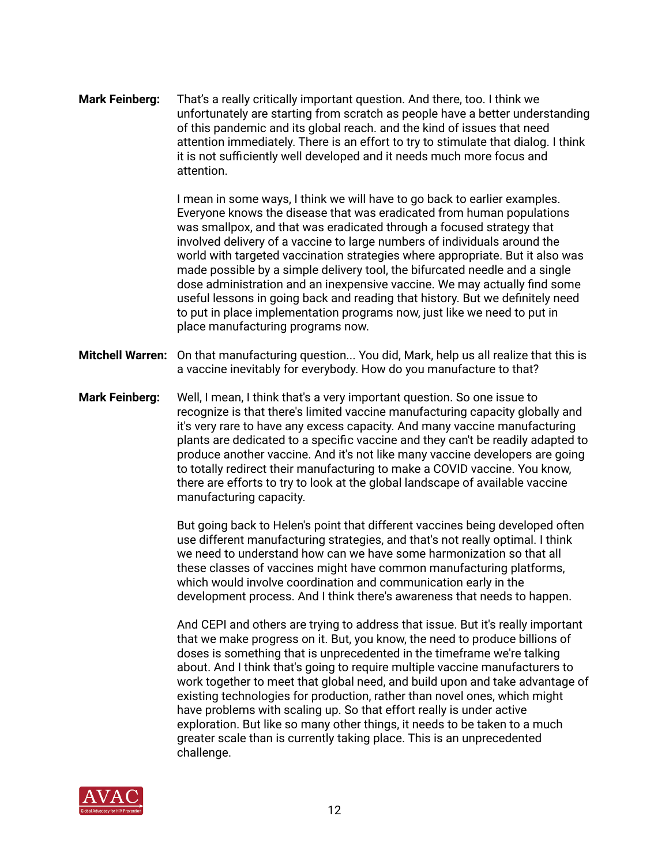**Mark Feinberg:** That's a really critically important question. And there, too. I think we unfortunately are starting from scratch as people have a better understanding of this pandemic and its global reach. and the kind of issues that need attention immediately. There is an effort to try to stimulate that dialog. I think it is not sufficiently well developed and it needs much more focus and attention.

> I mean in some ways, I think we will have to go back to earlier examples. Everyone knows the disease that was eradicated from human populations was smallpox, and that was eradicated through a focused strategy that involved delivery of a vaccine to large numbers of individuals around the world with targeted vaccination strategies where appropriate. But it also was made possible by a simple delivery tool, the bifurcated needle and a single dose administration and an inexpensive vaccine. We may actually find some useful lessons in going back and reading that history. But we definitely need to put in place implementation programs now, just like we need to put in place manufacturing programs now.

- **Mitchell Warren:** On that manufacturing question... You did, Mark, help us all realize that this is a vaccine inevitably for everybody. How do you manufacture to that?
- **Mark Feinberg:** Well, I mean, I think that's a very important question. So one issue to recognize is that there's limited vaccine manufacturing capacity globally and it's very rare to have any excess capacity. And many vaccine manufacturing plants are dedicated to a specific vaccine and they can't be readily adapted to produce another vaccine. And it's not like many vaccine developers are going to totally redirect their manufacturing to make a COVID vaccine. You know, there are efforts to try to look at the global landscape of available vaccine manufacturing capacity.

 But going back to Helen's point that different vaccines being developed often use different manufacturing strategies, and that's not really optimal. I think we need to understand how can we have some harmonization so that all these classes of vaccines might have common manufacturing platforms, which would involve coordination and communication early in the development process. And I think there's awareness that needs to happen.

 And CEPI and others are trying to address that issue. But it's really important that we make progress on it. But, you know, the need to produce billions of doses is something that is unprecedented in the timeframe we're talking about. And I think that's going to require multiple vaccine manufacturers to work together to meet that global need, and build upon and take advantage of existing technologies for production, rather than novel ones, which might have problems with scaling up. So that effort really is under active exploration. But like so many other things, it needs to be taken to a much greater scale than is currently taking place. This is an unprecedented challenge.

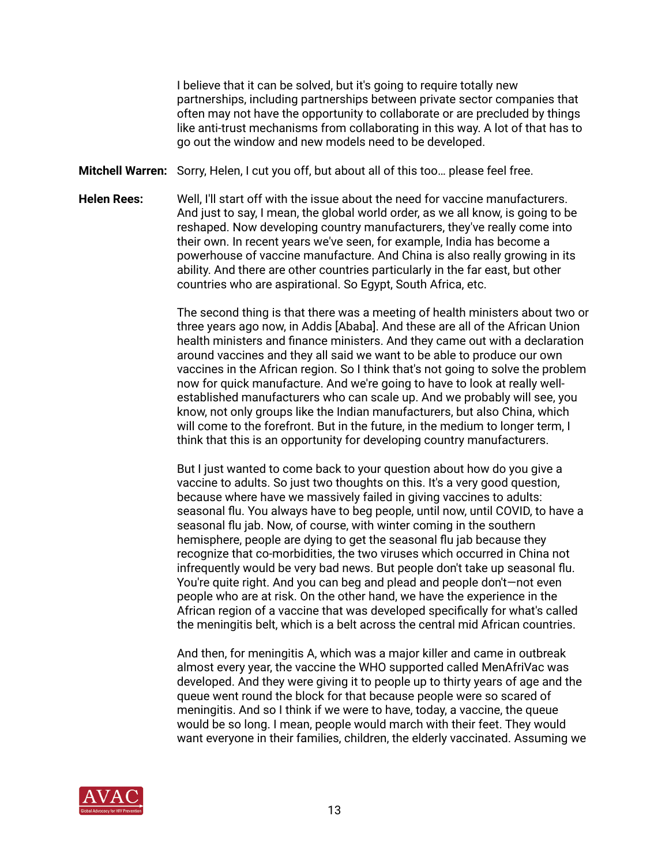I believe that it can be solved, but it's going to require totally new partnerships, including partnerships between private sector companies that often may not have the opportunity to collaborate or are precluded by things like anti-trust mechanisms from collaborating in this way. A lot of that has to go out the window and new models need to be developed.

**Mitchell Warren:** Sorry, Helen, I cut you off, but about all of this too… please feel free.

**Helen Rees:** Well, I'll start off with the issue about the need for vaccine manufacturers. And just to say, I mean, the global world order, as we all know, is going to be reshaped. Now developing country manufacturers, they've really come into their own. In recent years we've seen, for example, India has become a powerhouse of vaccine manufacture. And China is also really growing in its ability. And there are other countries particularly in the far east, but other countries who are aspirational. So Egypt, South Africa, etc.

> The second thing is that there was a meeting of health ministers about two or three years ago now, in Addis [Ababa]. And these are all of the African Union health ministers and finance ministers. And they came out with a declaration around vaccines and they all said we want to be able to produce our own vaccines in the African region. So I think that's not going to solve the problem now for quick manufacture. And we're going to have to look at really well established manufacturers who can scale up. And we probably will see, you know, not only groups like the Indian manufacturers, but also China, which will come to the forefront. But in the future, in the medium to longer term, I think that this is an opportunity for developing country manufacturers.

 But I just wanted to come back to your question about how do you give a vaccine to adults. So just two thoughts on this. It's a very good question, because where have we massively failed in giving vaccines to adults: seasonal flu. You always have to beg people, until now, until COVID, to have a seasonal flu jab. Now, of course, with winter coming in the southern hemisphere, people are dying to get the seasonal flu jab because they recognize that co-morbidities, the two viruses which occurred in China not infrequently would be very bad news. But people don't take up seasonal flu. You're quite right. And you can beg and plead and people don't—not even people who are at risk. On the other hand, we have the experience in the African region of a vaccine that was developed specifically for what's called the meningitis belt, which is a belt across the central mid African countries.

 And then, for meningitis A, which was a major killer and came in outbreak almost every year, the vaccine the WHO supported called MenAfriVac was developed. And they were giving it to people up to thirty years of age and the queue went round the block for that because people were so scared of meningitis. And so I think if we were to have, today, a vaccine, the queue would be so long. I mean, people would march with their feet. They would want everyone in their families, children, the elderly vaccinated. Assuming we

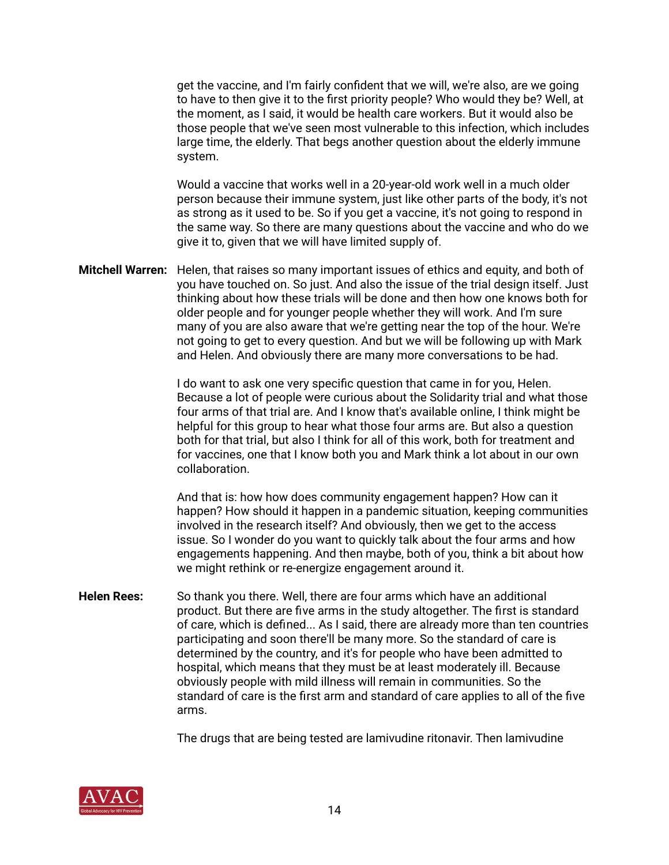get the vaccine, and I'm fairly confident that we will, we're also, are we going to have to then give it to the first priority people? Who would they be? Well, at the moment, as I said, it would be health care workers. But it would also be those people that we've seen most vulnerable to this infection, which includes large time, the elderly. That begs another question about the elderly immune system.

 Would a vaccine that works well in a 20-year-old work well in a much older person because their immune system, just like other parts of the body, it's not as strong as it used to be. So if you get a vaccine, it's not going to respond in the same way. So there are many questions about the vaccine and who do we give it to, given that we will have limited supply of.

**Mitchell Warren:** Helen, that raises so many important issues of ethics and equity, and both of you have touched on. So just. And also the issue of the trial design itself. Just thinking about how these trials will be done and then how one knows both for older people and for younger people whether they will work. And I'm sure many of you are also aware that we're getting near the top of the hour. We're not going to get to every question. And but we will be following up with Mark and Helen. And obviously there are many more conversations to be had.

> I do want to ask one very specific question that came in for you, Helen. Because a lot of people were curious about the Solidarity trial and what those four arms of that trial are. And I know that's available online, I think might be helpful for this group to hear what those four arms are. But also a question both for that trial, but also I think for all of this work, both for treatment and for vaccines, one that I know both you and Mark think a lot about in our own collaboration.

> And that is: how how does community engagement happen? How can it happen? How should it happen in a pandemic situation, keeping communities involved in the research itself? And obviously, then we get to the access issue. So I wonder do you want to quickly talk about the four arms and how engagements happening. And then maybe, both of you, think a bit about how we might rethink or re-energize engagement around it.

**Helen Rees:** So thank you there. Well, there are four arms which have an additional product. But there are five arms in the study altogether. The first is standard of care, which is defined... As I said, there are already more than ten countries participating and soon there'll be many more. So the standard of care is determined by the country, and it's for people who have been admitted to hospital, which means that they must be at least moderately ill. Because obviously people with mild illness will remain in communities. So the standard of care is the first arm and standard of care applies to all of the five arms.

The drugs that are being tested are lamivudine ritonavir. Then lamivudine

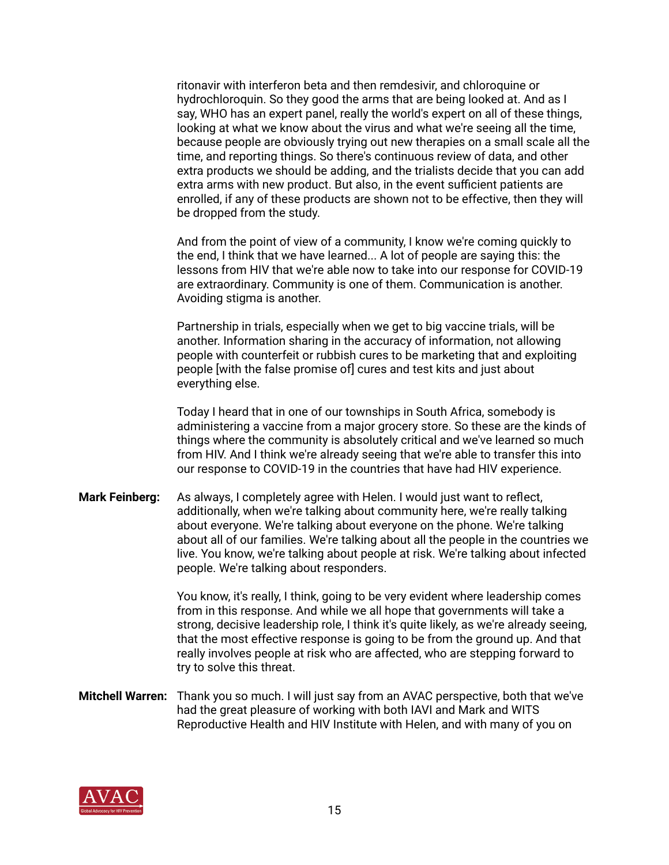ritonavir with interferon beta and then remdesivir, and chloroquine or hydrochloroquin. So they good the arms that are being looked at. And as I say, WHO has an expert panel, really the world's expert on all of these things, looking at what we know about the virus and what we're seeing all the time, because people are obviously trying out new therapies on a small scale all the time, and reporting things. So there's continuous review of data, and other extra products we should be adding, and the trialists decide that you can add extra arms with new product. But also, in the event sufficient patients are enrolled, if any of these products are shown not to be effective, then they will be dropped from the study.

 And from the point of view of a community, I know we're coming quickly to the end, I think that we have learned... A lot of people are saying this: the lessons from HIV that we're able now to take into our response for COVID-19 are extraordinary. Community is one of them. Communication is another. Avoiding stigma is another.

 Partnership in trials, especially when we get to big vaccine trials, will be another. Information sharing in the accuracy of information, not allowing people with counterfeit or rubbish cures to be marketing that and exploiting people [with the false promise of] cures and test kits and just about everything else.

 Today I heard that in one of our townships in South Africa, somebody is administering a vaccine from a major grocery store. So these are the kinds of things where the community is absolutely critical and we've learned so much from HIV. And I think we're already seeing that we're able to transfer this into our response to COVID-19 in the countries that have had HIV experience.

**Mark Feinberg:** As always, I completely agree with Helen. I would just want to reflect, additionally, when we're talking about community here, we're really talking about everyone. We're talking about everyone on the phone. We're talking about all of our families. We're talking about all the people in the countries we live. You know, we're talking about people at risk. We're talking about infected people. We're talking about responders.

> You know, it's really, I think, going to be very evident where leadership comes from in this response. And while we all hope that governments will take a strong, decisive leadership role, I think it's quite likely, as we're already seeing, that the most effective response is going to be from the ground up. And that really involves people at risk who are affected, who are stepping forward to try to solve this threat.

**Mitchell Warren:** Thank you so much. I will just say from an AVAC perspective, both that we've had the great pleasure of working with both IAVI and Mark and WITS Reproductive Health and HIV Institute with Helen, and with many of you on

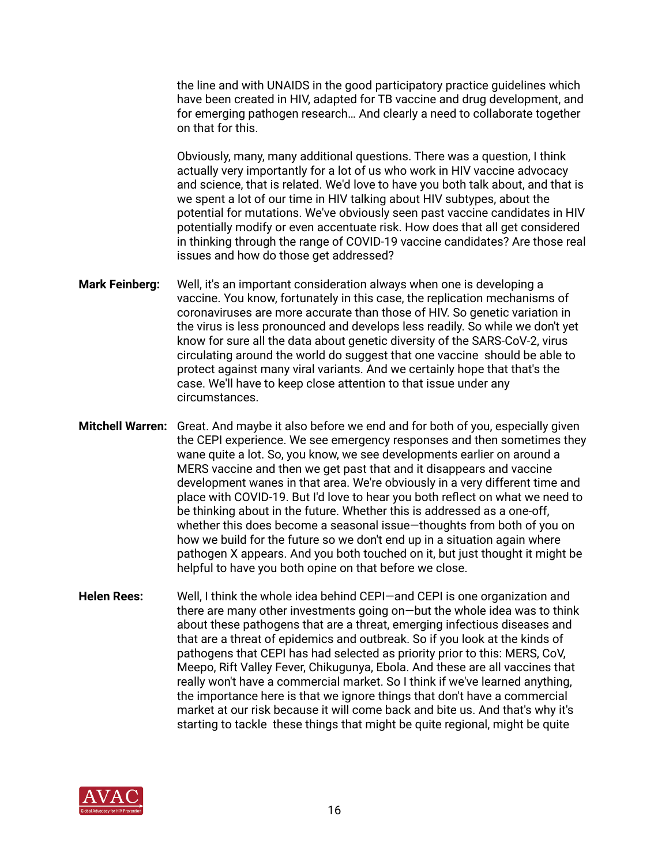the line and with UNAIDS in the good participatory practice guidelines which have been created in HIV, adapted for TB vaccine and drug development, and for emerging pathogen research… And clearly a need to collaborate together on that for this.

 Obviously, many, many additional questions. There was a question, I think actually very importantly for a lot of us who work in HIV vaccine advocacy and science, that is related. We'd love to have you both talk about, and that is we spent a lot of our time in HIV talking about HIV subtypes, about the potential for mutations. We've obviously seen past vaccine candidates in HIV potentially modify or even accentuate risk. How does that all get considered in thinking through the range of COVID-19 vaccine candidates? Are those real issues and how do those get addressed?

- **Mark Feinberg:** Well, it's an important consideration always when one is developing a vaccine. You know, fortunately in this case, the replication mechanisms of coronaviruses are more accurate than those of HIV. So genetic variation in the virus is less pronounced and develops less readily. So while we don't yet know for sure all the data about genetic diversity of the SARS-CoV-2, virus circulating around the world do suggest that one vaccine should be able to protect against many viral variants. And we certainly hope that that's the case. We'll have to keep close attention to that issue under any circumstances.
- **Mitchell Warren:** Great. And maybe it also before we end and for both of you, especially given the CEPI experience. We see emergency responses and then sometimes they wane quite a lot. So, you know, we see developments earlier on around a MERS vaccine and then we get past that and it disappears and vaccine development wanes in that area. We're obviously in a very different time and place with COVID-19. But I'd love to hear you both reflect on what we need to be thinking about in the future. Whether this is addressed as a one-off, whether this does become a seasonal issue—thoughts from both of you on how we build for the future so we don't end up in a situation again where pathogen X appears. And you both touched on it, but just thought it might be helpful to have you both opine on that before we close.
- **Helen Rees:** Well, I think the whole idea behind CEPI—and CEPI is one organization and there are many other investments going on—but the whole idea was to think about these pathogens that are a threat, emerging infectious diseases and that are a threat of epidemics and outbreak. So if you look at the kinds of pathogens that CEPI has had selected as priority prior to this: MERS, CoV, Meepo, Rift Valley Fever, Chikugunya, Ebola. And these are all vaccines that really won't have a commercial market. So I think if we've learned anything, the importance here is that we ignore things that don't have a commercial market at our risk because it will come back and bite us. And that's why it's starting to tackle these things that might be quite regional, might be quite

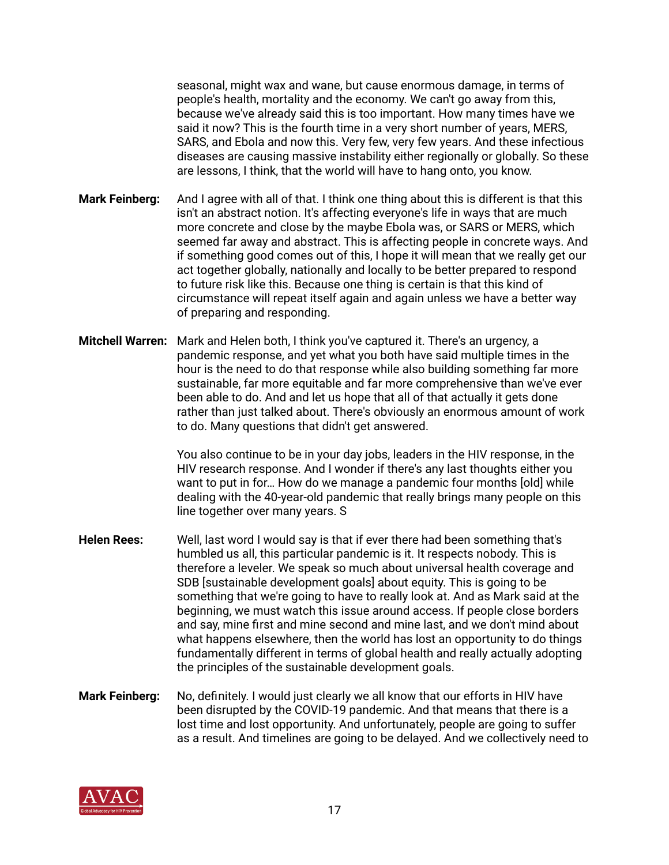seasonal, might wax and wane, but cause enormous damage, in terms of people's health, mortality and the economy. We can't go away from this, because we've already said this is too important. How many times have we said it now? This is the fourth time in a very short number of years, MERS, SARS, and Ebola and now this. Very few, very few years. And these infectious diseases are causing massive instability either regionally or globally. So these are lessons, I think, that the world will have to hang onto, you know.

- **Mark Feinberg:** And I agree with all of that. I think one thing about this is different is that this isn't an abstract notion. It's affecting everyone's life in ways that are much more concrete and close by the maybe Ebola was, or SARS or MERS, which seemed far away and abstract. This is affecting people in concrete ways. And if something good comes out of this, I hope it will mean that we really get our act together globally, nationally and locally to be better prepared to respond to future risk like this. Because one thing is certain is that this kind of circumstance will repeat itself again and again unless we have a better way of preparing and responding.
- **Mitchell Warren:** Mark and Helen both, I think you've captured it. There's an urgency, a pandemic response, and yet what you both have said multiple times in the hour is the need to do that response while also building something far more sustainable, far more equitable and far more comprehensive than we've ever been able to do. And and let us hope that all of that actually it gets done rather than just talked about. There's obviously an enormous amount of work to do. Many questions that didn't get answered.

 You also continue to be in your day jobs, leaders in the HIV response, in the HIV research response. And I wonder if there's any last thoughts either you want to put in for… How do we manage a pandemic four months [old] while dealing with the 40-year-old pandemic that really brings many people on this line together over many years. S

- **Helen Rees:** Well, last word I would say is that if ever there had been something that's humbled us all, this particular pandemic is it. It respects nobody. This is therefore a leveler. We speak so much about universal health coverage and SDB [sustainable development goals] about equity. This is going to be something that we're going to have to really look at. And as Mark said at the beginning, we must watch this issue around access. If people close borders and say, mine first and mine second and mine last, and we don't mind about what happens elsewhere, then the world has lost an opportunity to do things fundamentally different in terms of global health and really actually adopting the principles of the sustainable development goals.
- **Mark Feinberg:** No, definitely. I would just clearly we all know that our efforts in HIV have been disrupted by the COVID-19 pandemic. And that means that there is a lost time and lost opportunity. And unfortunately, people are going to suffer as a result. And timelines are going to be delayed. And we collectively need to